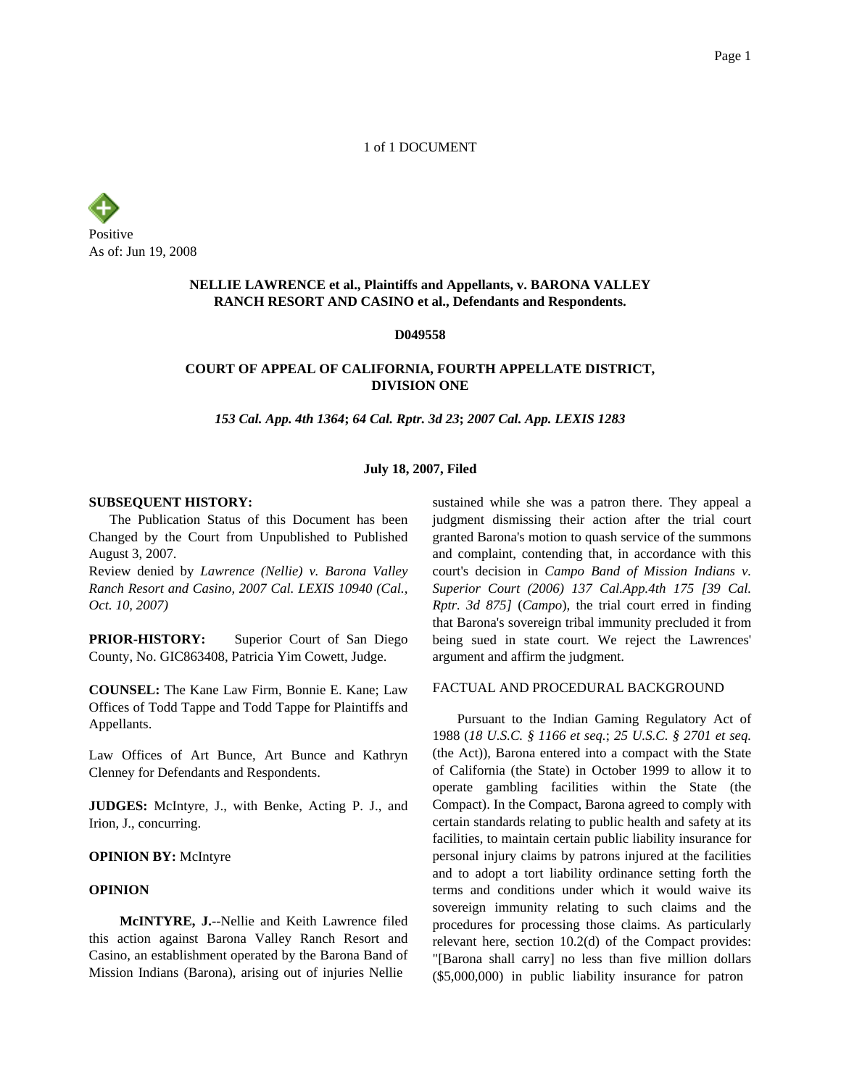1 of 1 DOCUMENT

Positive As of: Jun 19, 2008

# **NELLIE LAWRENCE et al., Plaintiffs and Appellants, v. BARONA VALLEY RANCH RESORT AND CASINO et al., Defendants and Respondents.**

**D049558**

## **COURT OF APPEAL OF CALIFORNIA, FOURTH APPELLATE DISTRICT, DIVISION ONE**

*153 Cal. App. 4th 1364***;** *64 Cal. Rptr. 3d 23***;** *2007 Cal. App. LEXIS 1283*

### **July 18, 2007, Filed**

#### **SUBSEQUENT HISTORY:**

The Publication Status of this Document has been Changed by the Court from Unpublished to Published August 3, 2007.

Review denied by *Lawrence (Nellie) v. Barona Valley Ranch Resort and Casino, 2007 Cal. LEXIS 10940 (Cal., Oct. 10, 2007)*

**PRIOR-HISTORY:** Superior Court of San Diego County, No. GIC863408, Patricia Yim Cowett, Judge.

**COUNSEL:** The Kane Law Firm, Bonnie E. Kane; Law Offices of Todd Tappe and Todd Tappe for Plaintiffs and Appellants.

Law Offices of Art Bunce, Art Bunce and Kathryn Clenney for Defendants and Respondents.

**JUDGES:** McIntyre, J., with Benke, Acting P. J., and Irion, J., concurring.

#### **OPINION BY:** McIntyre

#### **OPINION**

**McINTYRE, J.**--Nellie and Keith Lawrence filed this action against Barona Valley Ranch Resort and Casino, an establishment operated by the Barona Band of Mission Indians (Barona), arising out of injuries Nellie

sustained while she was a patron there. They appeal a judgment dismissing their action after the trial court granted Barona's motion to quash service of the summons and complaint, contending that, in accordance with this court's decision in *Campo Band of Mission Indians v. Superior Court (2006) 137 Cal.App.4th 175 [39 Cal. Rptr. 3d 875]* (*Campo*), the trial court erred in finding that Barona's sovereign tribal immunity precluded it from being sued in state court. We reject the Lawrences' argument and affirm the judgment.

### FACTUAL AND PROCEDURAL BACKGROUND

Pursuant to the Indian Gaming Regulatory Act of 1988 (*18 U.S.C. § 1166 et seq.*; *25 U.S.C. § 2701 et seq.* (the Act)), Barona entered into a compact with the State of California (the State) in October 1999 to allow it to operate gambling facilities within the State (the Compact). In the Compact, Barona agreed to comply with certain standards relating to public health and safety at its facilities, to maintain certain public liability insurance for personal injury claims by patrons injured at the facilities and to adopt a tort liability ordinance setting forth the terms and conditions under which it would waive its sovereign immunity relating to such claims and the procedures for processing those claims. As particularly relevant here, section 10.2(d) of the Compact provides: "[Barona shall carry] no less than five million dollars (\$5,000,000) in public liability insurance for patron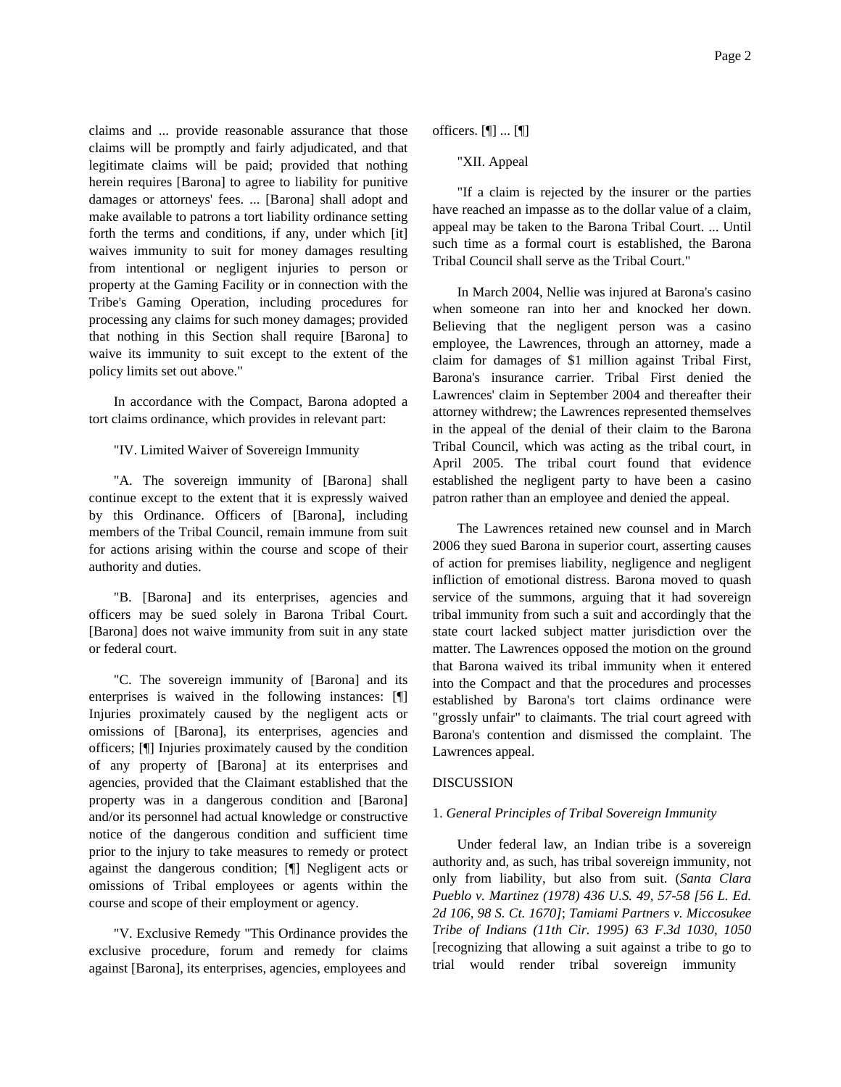claims and ... provide reasonable assurance that those claims will be promptly and fairly adjudicated, and that legitimate claims will be paid; provided that nothing herein requires [Barona] to agree to liability for punitive damages or attorneys' fees. ... [Barona] shall adopt and make available to patrons a tort liability ordinance setting forth the terms and conditions, if any, under which [it] waives immunity to suit for money damages resulting from intentional or negligent injuries to person or property at the Gaming Facility or in connection with the Tribe's Gaming Operation, including procedures for processing any claims for such money damages; provided that nothing in this Section shall require [Barona] to waive its immunity to suit except to the extent of the policy limits set out above."

In accordance with the Compact, Barona adopted a tort claims ordinance, which provides in relevant part:

"IV. Limited Waiver of Sovereign Immunity

"A. The sovereign immunity of [Barona] shall continue except to the extent that it is expressly waived by this Ordinance. Officers of [Barona], including members of the Tribal Council, remain immune from suit for actions arising within the course and scope of their authority and duties.

"B. [Barona] and its enterprises, agencies and officers may be sued solely in Barona Tribal Court. [Barona] does not waive immunity from suit in any state or federal court.

"C. The sovereign immunity of [Barona] and its enterprises is waived in the following instances: [¶] Injuries proximately caused by the negligent acts or omissions of [Barona], its enterprises, agencies and officers; [¶] Injuries proximately caused by the condition of any property of [Barona] at its enterprises and agencies, provided that the Claimant established that the property was in a dangerous condition and [Barona] and/or its personnel had actual knowledge or constructive notice of the dangerous condition and sufficient time prior to the injury to take measures to remedy or protect against the dangerous condition; [¶] Negligent acts or omissions of Tribal employees or agents within the course and scope of their employment or agency.

"V. Exclusive Remedy "This Ordinance provides the exclusive procedure, forum and remedy for claims against [Barona], its enterprises, agencies, employees and

officers. [¶] ... [¶]

"XII. Appeal

"If a claim is rejected by the insurer or the parties have reached an impasse as to the dollar value of a claim, appeal may be taken to the Barona Tribal Court. ... Until such time as a formal court is established, the Barona Tribal Council shall serve as the Tribal Court."

In March 2004, Nellie was injured at Barona's casino when someone ran into her and knocked her down. Believing that the negligent person was a casino employee, the Lawrences, through an attorney, made a claim for damages of \$1 million against Tribal First, Barona's insurance carrier. Tribal First denied the Lawrences' claim in September 2004 and thereafter their attorney withdrew; the Lawrences represented themselves in the appeal of the denial of their claim to the Barona Tribal Council, which was acting as the tribal court, in April 2005. The tribal court found that evidence established the negligent party to have been a casino patron rather than an employee and denied the appeal.

The Lawrences retained new counsel and in March 2006 they sued Barona in superior court, asserting causes of action for premises liability, negligence and negligent infliction of emotional distress. Barona moved to quash service of the summons, arguing that it had sovereign tribal immunity from such a suit and accordingly that the state court lacked subject matter jurisdiction over the matter. The Lawrences opposed the motion on the ground that Barona waived its tribal immunity when it entered into the Compact and that the procedures and processes established by Barona's tort claims ordinance were "grossly unfair" to claimants. The trial court agreed with Barona's contention and dismissed the complaint. The Lawrences appeal.

### DISCUSSION

### 1. *General Principles of Tribal Sovereign Immunity*

Under federal law, an Indian tribe is a sovereign authority and, as such, has tribal sovereign immunity, not only from liability, but also from suit. (*Santa Clara Pueblo v. Martinez (1978) 436 U.S. 49, 57-58 [56 L. Ed. 2d 106, 98 S. Ct. 1670]*; *Tamiami Partners v. Miccosukee Tribe of Indians (11th Cir. 1995) 63 F.3d 1030, 1050* [recognizing that allowing a suit against a tribe to go to trial would render tribal sovereign immunity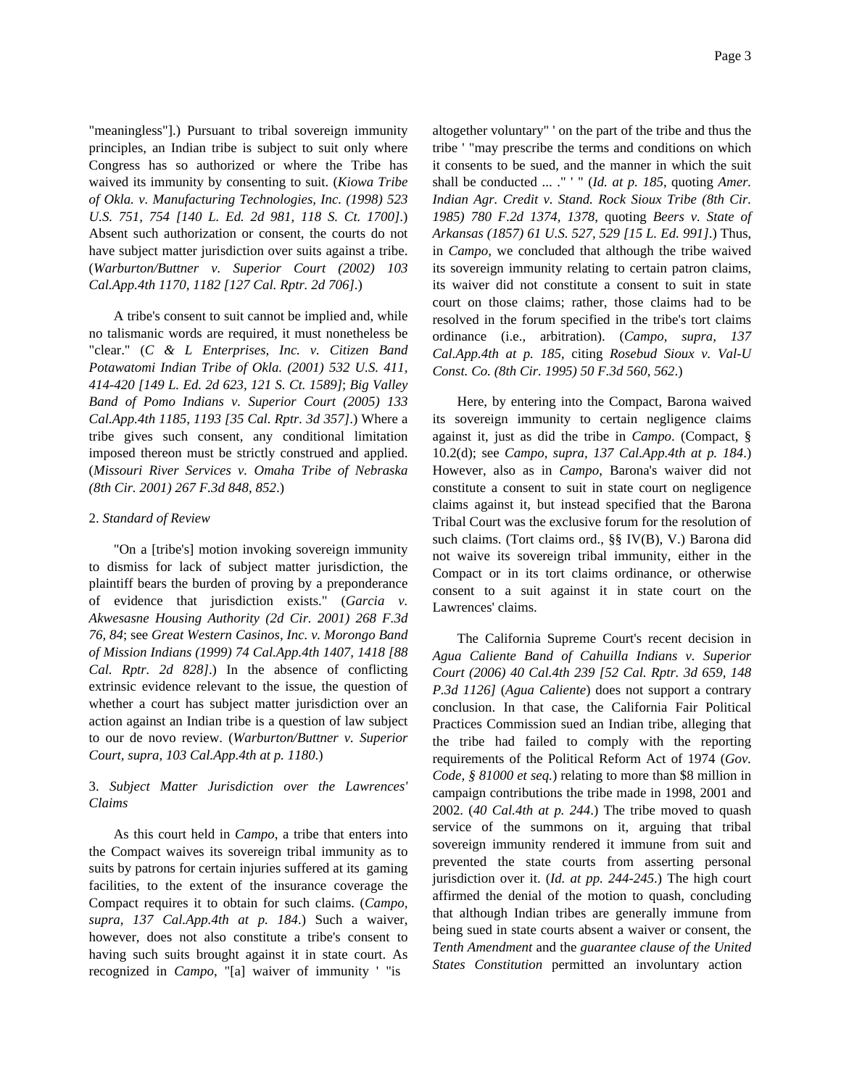Page 3

"meaningless"].) Pursuant to tribal sovereign immunity principles, an Indian tribe is subject to suit only where Congress has so authorized or where the Tribe has waived its immunity by consenting to suit. (*Kiowa Tribe of Okla. v. Manufacturing Technologies, Inc. (1998) 523 U.S. 751, 754 [140 L. Ed. 2d 981, 118 S. Ct. 1700]*.) Absent such authorization or consent, the courts do not have subject matter jurisdiction over suits against a tribe. (*Warburton/Buttner v. Superior Court (2002) 103 Cal.App.4th 1170, 1182 [127 Cal. Rptr. 2d 706]*.)

A tribe's consent to suit cannot be implied and, while no talismanic words are required, it must nonetheless be "clear." (*C & L Enterprises, Inc. v. Citizen Band Potawatomi Indian Tribe of Okla. (2001) 532 U.S. 411, 414-420 [149 L. Ed. 2d 623, 121 S. Ct. 1589]*; *Big Valley Band of Pomo Indians v. Superior Court (2005) 133 Cal.App.4th 1185, 1193 [35 Cal. Rptr. 3d 357]*.) Where a tribe gives such consent, any conditional limitation imposed thereon must be strictly construed and applied. (*Missouri River Services v. Omaha Tribe of Nebraska (8th Cir. 2001) 267 F.3d 848, 852*.)

### 2. *Standard of Review*

"On a [tribe's] motion invoking sovereign immunity to dismiss for lack of subject matter jurisdiction, the plaintiff bears the burden of proving by a preponderance of evidence that jurisdiction exists." (*Garcia v. Akwesasne Housing Authority (2d Cir. 2001) 268 F.3d 76, 84*; see *Great Western Casinos, Inc. v. Morongo Band of Mission Indians (1999) 74 Cal.App.4th 1407, 1418 [88 Cal. Rptr. 2d 828]*.) In the absence of conflicting extrinsic evidence relevant to the issue, the question of whether a court has subject matter jurisdiction over an action against an Indian tribe is a question of law subject to our de novo review. (*Warburton/Buttner v. Superior Court, supra, 103 Cal.App.4th at p. 1180*.)

# 3. *Subject Matter Jurisdiction over the Lawrences' Claims*

As this court held in *Campo*, a tribe that enters into the Compact waives its sovereign tribal immunity as to suits by patrons for certain injuries suffered at its gaming facilities, to the extent of the insurance coverage the Compact requires it to obtain for such claims. (*Campo, supra, 137 Cal.App.4th at p. 184*.) Such a waiver, however, does not also constitute a tribe's consent to having such suits brought against it in state court. As recognized in *Campo*, "[a] waiver of immunity ' "is

altogether voluntary" ' on the part of the tribe and thus the tribe ' "may prescribe the terms and conditions on which it consents to be sued, and the manner in which the suit shall be conducted ... ." ' " (*Id. at p. 185*, quoting *Amer. Indian Agr. Credit v. Stand. Rock Sioux Tribe (8th Cir. 1985) 780 F.2d 1374, 1378*, quoting *Beers v. State of Arkansas (1857) 61 U.S. 527, 529 [15 L. Ed. 991]*.) Thus, in *Campo*, we concluded that although the tribe waived its sovereign immunity relating to certain patron claims, its waiver did not constitute a consent to suit in state court on those claims; rather, those claims had to be resolved in the forum specified in the tribe's tort claims ordinance (i.e., arbitration). (*Campo, supra, 137 Cal.App.4th at p. 185*, citing *Rosebud Sioux v. Val-U Const. Co. (8th Cir. 1995) 50 F.3d 560, 562*.)

Here, by entering into the Compact, Barona waived its sovereign immunity to certain negligence claims against it, just as did the tribe in *Campo*. (Compact, § 10.2(d); see *Campo, supra, 137 Cal.App.4th at p. 184*.) However, also as in *Campo*, Barona's waiver did not constitute a consent to suit in state court on negligence claims against it, but instead specified that the Barona Tribal Court was the exclusive forum for the resolution of such claims. (Tort claims ord., §§ IV(B), V.) Barona did not waive its sovereign tribal immunity, either in the Compact or in its tort claims ordinance, or otherwise consent to a suit against it in state court on the Lawrences' claims.

The California Supreme Court's recent decision in *Agua Caliente Band of Cahuilla Indians v. Superior Court (2006) 40 Cal.4th 239 [52 Cal. Rptr. 3d 659, 148 P.3d 1126]* (*Agua Caliente*) does not support a contrary conclusion. In that case, the California Fair Political Practices Commission sued an Indian tribe, alleging that the tribe had failed to comply with the reporting requirements of the Political Reform Act of 1974 (*Gov. Code, § 81000 et seq.*) relating to more than \$8 million in campaign contributions the tribe made in 1998, 2001 and 2002. (*40 Cal.4th at p. 244*.) The tribe moved to quash service of the summons on it, arguing that tribal sovereign immunity rendered it immune from suit and prevented the state courts from asserting personal jurisdiction over it. (*Id. at pp. 244-245*.) The high court affirmed the denial of the motion to quash, concluding that although Indian tribes are generally immune from being sued in state courts absent a waiver or consent, the *Tenth Amendment* and the *guarantee clause of the United States Constitution* permitted an involuntary action